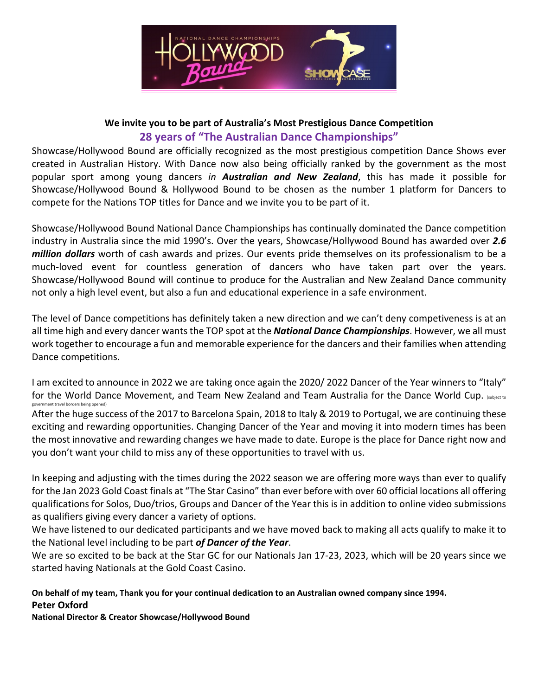

### **We invite you to be part of Australia's Most Prestigious Dance Competition 28 years of "The Australian Dance Championships"**

Showcase/Hollywood Bound are officially recognized as the most prestigious competition Dance Shows ever created in Australian History. With Dance now also being officially ranked by the government as the most popular sport among young dancers *in Australian and New Zealand*, this has made it possible for Showcase/Hollywood Bound & Hollywood Bound to be chosen as the number 1 platform for Dancers to compete for the Nations TOP titles for Dance and we invite you to be part of it.

Showcase/Hollywood Bound National Dance Championships has continually dominated the Dance competition industry in Australia since the mid 1990's. Over the years, Showcase/Hollywood Bound has awarded over *2.6 million dollars* worth of cash awards and prizes. Our events pride themselves on its professionalism to be a much-loved event for countless generation of dancers who have taken part over the years. Showcase/Hollywood Bound will continue to produce for the Australian and New Zealand Dance community not only a high level event, but also a fun and educational experience in a safe environment.

The level of Dance competitions has definitely taken a new direction and we can't deny competiveness is at an all time high and every dancer wants the TOP spot at the *National Dance Championships*. However, we all must work together to encourage a fun and memorable experience for the dancers and their families when attending Dance competitions.

I am excited to announce in 2022 we are taking once again the 2020/ 2022 Dancer of the Year winners to "Italy" for the World Dance Movement, and Team New Zealand and Team Australia for the Dance World Cup. (subject to government travel borders being opened)

After the huge success of the 2017 to Barcelona Spain, 2018 to Italy & 2019 to Portugal, we are continuing these exciting and rewarding opportunities. Changing Dancer of the Year and moving it into modern times has been the most innovative and rewarding changes we have made to date. Europe is the place for Dance right now and you don't want your child to miss any of these opportunities to travel with us.

In keeping and adjusting with the times during the 2022 season we are offering more ways than ever to qualify for the Jan 2023 Gold Coast finals at "The Star Casino" than ever before with over 60 official locations all offering qualifications for Solos, Duo/trios, Groups and Dancer of the Year this is in addition to online video submissions as qualifiers giving every dancer a variety of options.

We have listened to our dedicated participants and we have moved back to making all acts qualify to make it to the National level including to be part *of Dancer of the Year*.

We are so excited to be back at the Star GC for our Nationals Jan 17-23, 2023, which will be 20 years since we started having Nationals at the Gold Coast Casino.

**On behalf of my team, Thank you for your continual dedication to an Australian owned company since 1994. Peter Oxford**

**National Director & Creator Showcase/Hollywood Bound**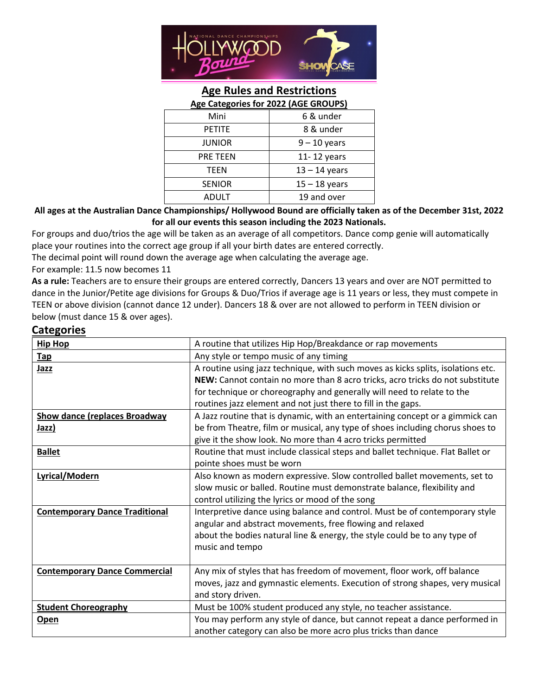

# **Age Rules and Restrictions**

| Age Categories for 2022 (AGE GROUPS) |                 |
|--------------------------------------|-----------------|
| Mini                                 | 6 & under       |
| <b>PETITE</b>                        | 8 & under       |
| <b>JUNIOR</b>                        | $9 - 10$ years  |
| PRE TEEN                             | 11-12 years     |
| TEEN                                 | $13 - 14$ years |
| <b>SENIOR</b>                        | $15 - 18$ years |
| ADULT                                | 19 and over     |
|                                      |                 |

#### **All ages at the Australian Dance Championships/ Hollywood Bound are officially taken as of the December 31st, 2022 for all our events this season including the 2023 Nationals.**

For groups and duo/trios the age will be taken as an average of all competitors. Dance comp genie will automatically place your routines into the correct age group if all your birth dates are entered correctly.

The decimal point will round down the average age when calculating the average age.

For example: 11.5 now becomes 11

**As a rule:** Teachers are to ensure their groups are entered correctly, Dancers 13 years and over are NOT permitted to dance in the Junior/Petite age divisions for Groups & Duo/Trios if average age is 11 years or less, they must compete in TEEN or above division (cannot dance 12 under). Dancers 18 & over are not allowed to perform in TEEN division or below (must dance 15 & over ages).

#### **Categories**

| <b>Hip Hop</b>                        | A routine that utilizes Hip Hop/Breakdance or rap movements                      |
|---------------------------------------|----------------------------------------------------------------------------------|
| <b>Tap</b>                            | Any style or tempo music of any timing                                           |
| Jazz                                  | A routine using jazz technique, with such moves as kicks splits, isolations etc. |
|                                       | NEW: Cannot contain no more than 8 acro tricks, acro tricks do not substitute    |
|                                       | for technique or choreography and generally will need to relate to the           |
|                                       | routines jazz element and not just there to fill in the gaps.                    |
| <b>Show dance (replaces Broadway</b>  | A Jazz routine that is dynamic, with an entertaining concept or a gimmick can    |
| Jazz)                                 | be from Theatre, film or musical, any type of shoes including chorus shoes to    |
|                                       | give it the show look. No more than 4 acro tricks permitted                      |
| <b>Ballet</b>                         | Routine that must include classical steps and ballet technique. Flat Ballet or   |
|                                       | pointe shoes must be worn                                                        |
| Lyrical/Modern                        | Also known as modern expressive. Slow controlled ballet movements, set to        |
|                                       | slow music or balled. Routine must demonstrate balance, flexibility and          |
|                                       | control utilizing the lyrics or mood of the song                                 |
| <b>Contemporary Dance Traditional</b> | Interpretive dance using balance and control. Must be of contemporary style      |
|                                       | angular and abstract movements, free flowing and relaxed                         |
|                                       | about the bodies natural line & energy, the style could be to any type of        |
|                                       | music and tempo                                                                  |
|                                       |                                                                                  |
| <b>Contemporary Dance Commercial</b>  | Any mix of styles that has freedom of movement, floor work, off balance          |
|                                       | moves, jazz and gymnastic elements. Execution of strong shapes, very musical     |
|                                       | and story driven.                                                                |
| <b>Student Choreography</b>           | Must be 100% student produced any style, no teacher assistance.                  |
| <b>Open</b>                           | You may perform any style of dance, but cannot repeat a dance performed in       |
|                                       | another category can also be more acro plus tricks than dance                    |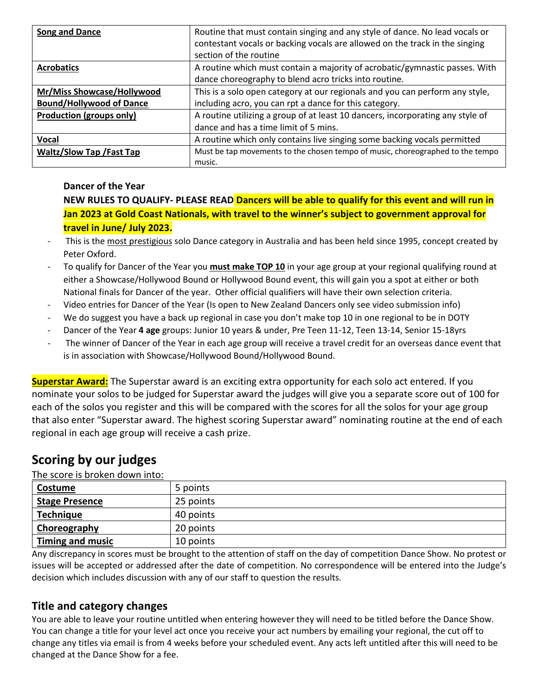| <b>Song and Dance</b>           | Routine that must contain singing and any style of dance. No lead vocals or<br>contestant vocals or backing vocals are allowed on the track in the singing<br>section of the routine |  |
|---------------------------------|--------------------------------------------------------------------------------------------------------------------------------------------------------------------------------------|--|
|                                 |                                                                                                                                                                                      |  |
| <b>Acrobatics</b>               | A routine which must contain a majority of acrobatic/gymnastic passes. With                                                                                                          |  |
|                                 | dance choreography to blend acro tricks into routine.                                                                                                                                |  |
| Mr/Miss Showcase/Hollywood      | This is a solo open category at our regionals and you can perform any style,                                                                                                         |  |
| <b>Bound/Hollywood of Dance</b> | including acro, you can rpt a dance for this category.                                                                                                                               |  |
| <b>Production (groups only)</b> | A routine utilizing a group of at least 10 dancers, incorporating any style of                                                                                                       |  |
|                                 | dance and has a time limit of 5 mins.                                                                                                                                                |  |
| <b>Vocal</b>                    | A routine which only contains live singing some backing vocals permitted                                                                                                             |  |
| <b>Waltz/Slow Tap /Fast Tap</b> | Must be tap movements to the chosen tempo of music, choreographed to the tempo                                                                                                       |  |
|                                 | music.                                                                                                                                                                               |  |

#### **Dancer of the Year**

**NEW RULES TO QUALIFY- PLEASE READ Dancers will be able to qualify for this event and will run in Jan 2023 at Gold Coast Nationals, with travel to the winner's subject to government approval for travel in June/ July 2023.**

- This is the most prestigious solo Dance category in Australia and has been held since 1995, concept created by Peter Oxford.
- To qualify for Dancer of the Year you **must make TOP 10** in your age group at your regional qualifying round at either a Showcase/Hollywood Bound or Hollywood Bound event, this will gain you a spot at either or both National finals for Dancer of the year. Other official qualifiers will have their own selection criteria.
- Video entries for Dancer of the Year (Is open to New Zealand Dancers only see video submission info)
- We do suggest you have a back up regional in case you don't make top 10 in one regional to be in DOTY
- Dancer of the Year **4 age** groups: Junior 10 years & under, Pre Teen 11-12, Teen 13-14, Senior 15-18yrs
- The winner of Dancer of the Year in each age group will receive a travel credit for an overseas dance event that is in association with Showcase/Hollywood Bound/Hollywood Bound.

**Superstar Award:** The Superstar award is an exciting extra opportunity for each solo act entered. If you nominate your solos to be judged for Superstar award the judges will give you a separate score out of 100 for each of the solos you register and this will be compared with the scores for all the solos for your age group that also enter "Superstar award. The highest scoring Superstar award" nominating routine at the end of each regional in each age group will receive a cash prize.

# **Scoring by our judges**

The score is broken down into:

| Costume                 | 5 points  |
|-------------------------|-----------|
| <b>Stage Presence</b>   | 25 points |
| <b>Technique</b>        | 40 points |
| Choreography            | 20 points |
| <b>Timing and music</b> | 10 points |

Any discrepancy in scores must be brought to the attention of staff on the day of competition Dance Show. No protest or issues will be accepted or addressed after the date of competition. No correspondence will be entered into the Judge's decision which includes discussion with any of our staff to question the results.

## **Title and category changes**

You are able to leave your routine untitled when entering however they will need to be titled before the Dance Show. You can change a title for your level act once you receive your act numbers by emailing your regional, the cut off to change any titles via email is from 4 weeks before your scheduled event. Any acts left untitled after this will need to be changed at the Dance Show for a fee.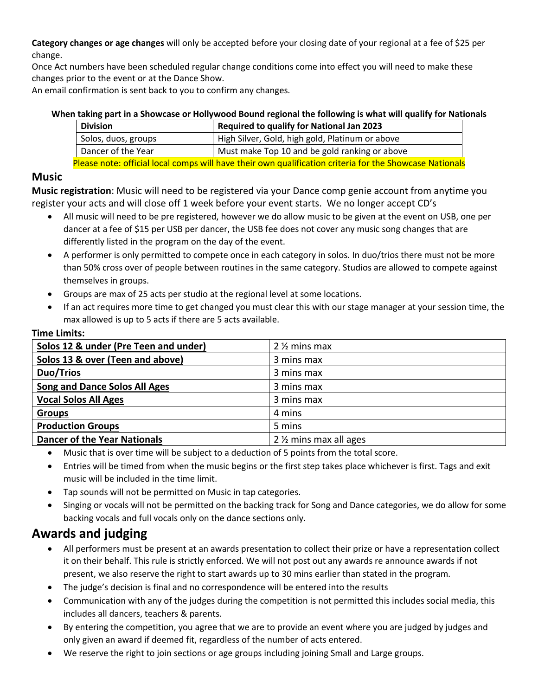**Category changes or age changes** will only be accepted before your closing date of your regional at a fee of \$25 per change.

Once Act numbers have been scheduled regular change conditions come into effect you will need to make these changes prior to the event or at the Dance Show.

An email confirmation is sent back to you to confirm any changes.

## **When taking part in a Showcase or Hollywood Bound regional the following is what will qualify for Nationals**

|                                                                                                         | <b>Division</b>     | <b>Required to qualify for National Jan 2023</b> |
|---------------------------------------------------------------------------------------------------------|---------------------|--------------------------------------------------|
|                                                                                                         | Solos, duos, groups | High Silver, Gold, high gold, Platinum or above  |
|                                                                                                         | Dancer of the Year  | Must make Top 10 and be gold ranking or above    |
| Please note: official local comps will have their own qualification criteria for the Showcase Nationals |                     |                                                  |

### **Music**

**Music registration**: Music will need to be registered via your Dance comp genie account from anytime you register your acts and will close off 1 week before your event starts. We no longer accept CD's

- All music will need to be pre registered, however we do allow music to be given at the event on USB, one per dancer at a fee of \$15 per USB per dancer, the USB fee does not cover any music song changes that are differently listed in the program on the day of the event.
- A performer is only permitted to compete once in each category in solos. In duo/trios there must not be more than 50% cross over of people between routines in the same category. Studios are allowed to compete against themselves in groups.
- Groups are max of 25 acts per studio at the regional level at some locations.
- If an act requires more time to get changed you must clear this with our stage manager at your session time, the max allowed is up to 5 acts if there are 5 acts available.

| Solos 12 & under (Pre Teen and under) | 2 % mins max          |
|---------------------------------------|-----------------------|
| Solos 13 & over (Teen and above)      | 3 mins max            |
| <b>Duo/Trios</b>                      | 3 mins max            |
| <b>Song and Dance Solos All Ages</b>  | 3 mins max            |
| <b>Vocal Solos All Ages</b>           | 3 mins max            |
| <b>Groups</b>                         | 4 mins                |
| <b>Production Groups</b>              | 5 mins                |
| <b>Dancer of the Year Nationals</b>   | 2 % mins max all ages |

#### **Time Limits:**

• Music that is over time will be subject to a deduction of 5 points from the total score.

- Entries will be timed from when the music begins or the first step takes place whichever is first. Tags and exit music will be included in the time limit.
- Tap sounds will not be permitted on Music in tap categories.
- Singing or vocals will not be permitted on the backing track for Song and Dance categories, we do allow for some backing vocals and full vocals only on the dance sections only.

# **Awards and judging**

- All performers must be present at an awards presentation to collect their prize or have a representation collect it on their behalf. This rule is strictly enforced. We will not post out any awards re announce awards if not present, we also reserve the right to start awards up to 30 mins earlier than stated in the program.
- The judge's decision is final and no correspondence will be entered into the results
- Communication with any of the judges during the competition is not permitted this includes social media, this includes all dancers, teachers & parents.
- By entering the competition, you agree that we are to provide an event where you are judged by judges and only given an award if deemed fit, regardless of the number of acts entered.
- We reserve the right to join sections or age groups including joining Small and Large groups.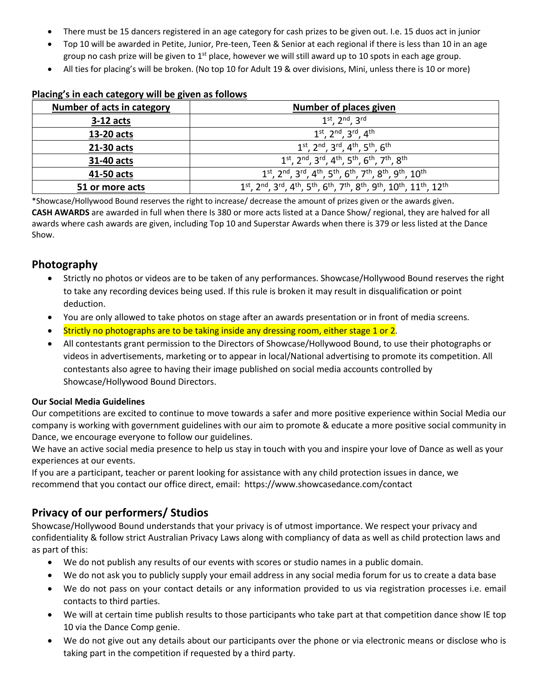- There must be 15 dancers registered in an age category for cash prizes to be given out. I.e. 15 duos act in junior
- Top 10 will be awarded in Petite, Junior, Pre-teen, Teen & Senior at each regional if there is less than 10 in an age group no cash prize will be given to  $1<sup>st</sup>$  place, however we will still award up to 10 spots in each age group.
- All ties for placing's will be broken. (No top 10 for Adult 19 & over divisions, Mini, unless there is 10 or more)

#### **Placing's in each category will be given as follows**

| Number of acts in category | <b>Number of places given</b>                                                         |
|----------------------------|---------------------------------------------------------------------------------------|
| $3-12$ acts                | $1^{st}$ , $2^{nd}$ , $3^{rd}$                                                        |
| 13-20 acts                 | $1^{st}$ , $2^{nd}$ , $3^{rd}$ , $4^{th}$                                             |
| 21-30 acts                 | $1^{st}$ , $2^{nd}$ , $3^{rd}$ , $4^{th}$ , $5^{th}$ , $6^{th}$                       |
| 31-40 acts                 | $1^{st}$ , $2^{nd}$ , $3^{rd}$ , $4^{th}$ , $5^{th}$ , $6^{th}$ , $7^{th}$ , $8^{th}$ |
| 41-50 acts                 | 1st, 2nd, 3rd, 4th, 5th, 6th, 7th, 8th, 9th, 10th                                     |
| 51 or more acts            | 1st, 2nd, 3rd, 4th, 5th, 6th, 7th, 8th, 9th, 10th, 11th, 12th                         |

\*Showcase/Hollywood Bound reserves the right to increase/ decrease the amount of prizes given or the awards given. **CASH AWARDS** are awarded in full when there Is 380 or more acts listed at a Dance Show/ regional, they are halved for all awards where cash awards are given, including Top 10 and Superstar Awards when there is 379 or less listed at the Dance Show.

### **Photography**

- Strictly no photos or videos are to be taken of any performances. Showcase/Hollywood Bound reserves the right to take any recording devices being used. If this rule is broken it may result in disqualification or point deduction.
- You are only allowed to take photos on stage after an awards presentation or in front of media screens.
- Strictly no photographs are to be taking inside any dressing room, either stage 1 or 2.
- All contestants grant permission to the Directors of Showcase/Hollywood Bound, to use their photographs or videos in advertisements, marketing or to appear in local/National advertising to promote its competition. All contestants also agree to having their image published on social media accounts controlled by Showcase/Hollywood Bound Directors.

#### **Our Social Media Guidelines**

Our competitions are excited to continue to move towards a safer and more positive experience within Social Media our company is working with government guidelines with our aim to promote & educate a more positive social community in Dance, we encourage everyone to follow our guidelines.

We have an active social media presence to help us stay in touch with you and inspire your love of Dance as well as your experiences at our events.

If you are a participant, teacher or parent looking for assistance with any child protection issues in dance, we recommend that you contact our office direct, email: https://www.showcasedance.com/contact

### **Privacy of our performers/ Studios**

Showcase/Hollywood Bound understands that your privacy is of utmost importance. We respect your privacy and confidentiality & follow strict Australian Privacy Laws along with compliancy of data as well as child protection laws and as part of this:

- We do not publish any results of our events with scores or studio names in a public domain.
- We do not ask you to publicly supply your email address in any social media forum for us to create a data base
- We do not pass on your contact details or any information provided to us via registration processes i.e. email contacts to third parties.
- We will at certain time publish results to those participants who take part at that competition dance show IE top 10 via the Dance Comp genie.
- We do not give out any details about our participants over the phone or via electronic means or disclose who is taking part in the competition if requested by a third party.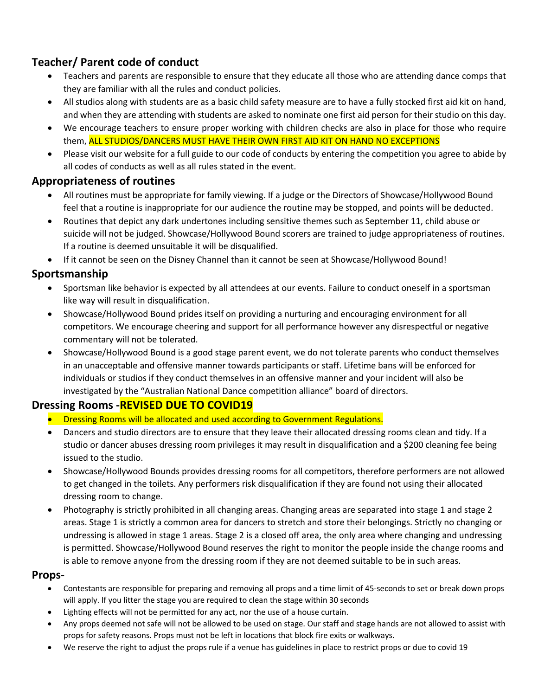# **Teacher/ Parent code of conduct**

- Teachers and parents are responsible to ensure that they educate all those who are attending dance comps that they are familiar with all the rules and conduct policies.
- All studios along with students are as a basic child safety measure are to have a fully stocked first aid kit on hand, and when they are attending with students are asked to nominate one first aid person for their studio on this day.
- We encourage teachers to ensure proper working with children checks are also in place for those who require them, ALL STUDIOS/DANCERS MUST HAVE THEIR OWN FIRST AID KIT ON HAND NO EXCEPTIONS
- Please visit our website for a full guide to our code of conducts by entering the competition you agree to abide by all codes of conducts as well as all rules stated in the event.

## **Appropriateness of routines**

- All routines must be appropriate for family viewing. If a judge or the Directors of Showcase/Hollywood Bound feel that a routine is inappropriate for our audience the routine may be stopped, and points will be deducted.
- Routines that depict any dark undertones including sensitive themes such as September 11, child abuse or suicide will not be judged. Showcase/Hollywood Bound scorers are trained to judge appropriateness of routines. If a routine is deemed unsuitable it will be disqualified.
- If it cannot be seen on the Disney Channel than it cannot be seen at Showcase/Hollywood Bound!

## **Sportsmanship**

- Sportsman like behavior is expected by all attendees at our events. Failure to conduct oneself in a sportsman like way will result in disqualification.
- Showcase/Hollywood Bound prides itself on providing a nurturing and encouraging environment for all competitors. We encourage cheering and support for all performance however any disrespectful or negative commentary will not be tolerated.
- Showcase/Hollywood Bound is a good stage parent event, we do not tolerate parents who conduct themselves in an unacceptable and offensive manner towards participants or staff. Lifetime bans will be enforced for individuals or studios if they conduct themselves in an offensive manner and your incident will also be investigated by the "Australian National Dance competition alliance" board of directors.

## **Dressing Rooms -REVISED DUE TO COVID19**

- Dressing Rooms will be allocated and used according to Government Regulations.
- Dancers and studio directors are to ensure that they leave their allocated dressing rooms clean and tidy. If a studio or dancer abuses dressing room privileges it may result in disqualification and a \$200 cleaning fee being issued to the studio.
- Showcase/Hollywood Bounds provides dressing rooms for all competitors, therefore performers are not allowed to get changed in the toilets. Any performers risk disqualification if they are found not using their allocated dressing room to change.
- Photography is strictly prohibited in all changing areas. Changing areas are separated into stage 1 and stage 2 areas. Stage 1 is strictly a common area for dancers to stretch and store their belongings. Strictly no changing or undressing is allowed in stage 1 areas. Stage 2 is a closed off area, the only area where changing and undressing is permitted. Showcase/Hollywood Bound reserves the right to monitor the people inside the change rooms and is able to remove anyone from the dressing room if they are not deemed suitable to be in such areas.

### **Props-**

- Contestants are responsible for preparing and removing all props and a time limit of 45-seconds to set or break down props will apply. If you litter the stage you are required to clean the stage within 30 seconds
- Lighting effects will not be permitted for any act, nor the use of a house curtain.
- Any props deemed not safe will not be allowed to be used on stage. Our staff and stage hands are not allowed to assist with props for safety reasons. Props must not be left in locations that block fire exits or walkways.
- We reserve the right to adjust the props rule if a venue has guidelines in place to restrict props or due to covid 19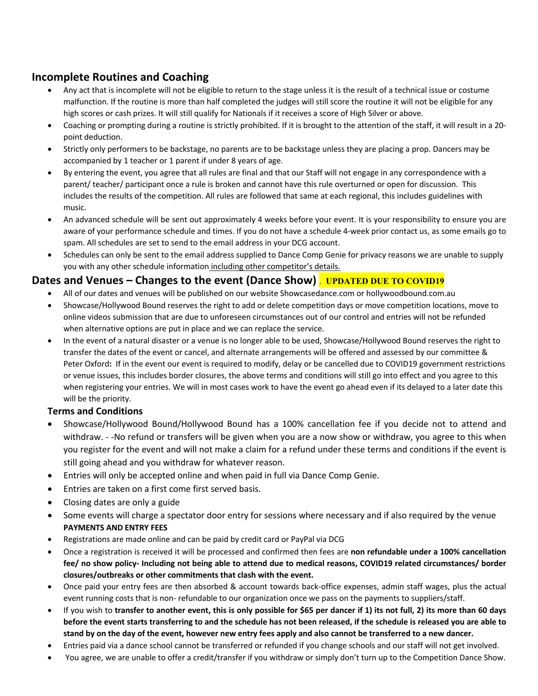### **Incomplete Routines and Coaching**

- Any act that is incomplete will not be eligible to return to the stage unless it is the result of a technical issue or costume malfunction. If the routine is more than half completed the judges will still score the routine it will not be eligible for any high scores or cash prizes. It will still qualify for Nationals if it receives a score of High Silver or above.
- Coaching or prompting during a routine is strictly prohibited. If it is brought to the attention of the staff, it will result in a 20 point deduction.
- Strictly only performers to be backstage, no parents are to be backstage unless they are placing a prop. Dancers may be accompanied by 1 teacher or 1 parent if under 8 years of age.
- By entering the event, you agree that all rules are final and that our Staff will not engage in any correspondence with a parent/ teacher/ participant once a rule is broken and cannot have this rule overturned or open for discussion. This includes the results of the competition. All rules are followed that same at each regional, this includes guidelines with music.
- An advanced schedule will be sent out approximately 4 weeks before your event. It is your responsibility to ensure you are aware of your performance schedule and times. If you do not have a schedule 4-week prior contact us, as some emails go to spam. All schedules are set to send to the email address in your DCG account.
- Schedules can only be sent to the email address supplied to Dance Comp Genie for privacy reasons we are unable to supply you with any other schedule information including other competitor's details.

#### **Dates and Venues – Changes to the event (Dance Show)** . **UPDATED DUE TO COVID19**

- All of our dates and venues will be published on our website Showcasedance.com or hollywoodbound.com.au
- Showcase/Hollywood Bound reserves the right to add or delete competition days or move competition locations, move to online videos submission that are due to unforeseen circumstances out of our control and entries will not be refunded when alternative options are put in place and we can replace the service.
- In the event of a natural disaster or a venue is no longer able to be used, Showcase/Hollywood Bound reserves the right to transfer the dates of the event or cancel, and alternate arrangements will be offered and assessed by our committee & Peter Oxford**:** If in the event our event is required to modify, delay or be cancelled due to COVID19 government restrictions or venue issues, this includes border closures, the above terms and conditions will still go into effect and you agree to this when registering your entries. We will in most cases work to have the event go ahead even if its delayed to a later date this will be the priority.

#### **Terms and Conditions**

- Showcase/Hollywood Bound/Hollywood Bound has a 100% cancellation fee if you decide not to attend and withdraw. - -No refund or transfers will be given when you are a now show or withdraw, you agree to this when you register for the event and will not make a claim for a refund under these terms and conditions if the event is still going ahead and you withdraw for whatever reason.
- Entries will only be accepted online and when paid in full via Dance Comp Genie.
- Entries are taken on a first come first served basis.
- Closing dates are only a guide
- Some events will charge a spectator door entry for sessions where necessary and if also required by the venue **PAYMENTS AND ENTRY FEES**
- Registrations are made online and can be paid by credit card or PayPal via DCG
- Once a registration is received it will be processed and confirmed then fees are **non refundable under a 100% cancellation fee/ no show policy- Including not being able to attend due to medical reasons, COVID19 related circumstances/ border closures/outbreaks or other commitments that clash with the event.**
- Once paid your entry fees are then absorbed & account towards back-office expenses, admin staff wages, plus the actual event running costs that is non- refundable to our organization once we pass on the payments to suppliers/staff.
- If you wish to **transfer to another event, this is only possible for \$65 per dancer if 1) its not full, 2) its more than 60 days before the event starts transferring to and the schedule has not been released, if the schedule is released you are able to stand by on the day of the event, however new entry fees apply and also cannot be transferred to a new dancer.**
- Entries paid via a dance school cannot be transferred or refunded if you change schools and our staff will not get involved.
- You agree, we are unable to offer a credit/transfer if you withdraw or simply don't turn up to the Competition Dance Show.